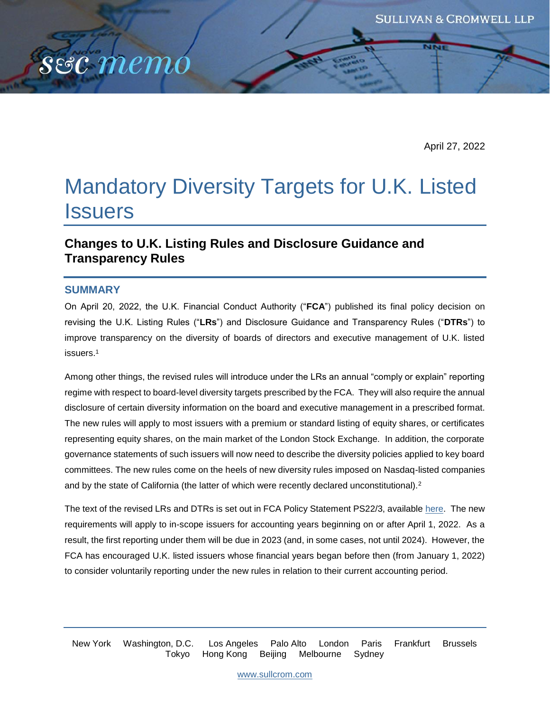April 27, 2022

# Mandatory Diversity Targets for U.K. Listed **Issuers**

# **Changes to U.K. Listing Rules and Disclosure Guidance and Transparency Rules**

### **SUMMARY**

sec memó

On April 20, 2022, the U.K. Financial Conduct Authority ("**FCA**") published its final policy decision on revising the U.K. Listing Rules ("**LRs**") and Disclosure Guidance and Transparency Rules ("**DTRs**") to improve transparency on the diversity of boards of directors and executive management of U.K. listed issuers.<sup>1</sup>

Among other things, the revised rules will introduce under the LRs an annual "comply or explain" reporting regime with respect to board-level diversity targets prescribed by the FCA. They will also require the annual disclosure of certain diversity information on the board and executive management in a prescribed format. The new rules will apply to most issuers with a premium or standard listing of equity shares, or certificates representing equity shares, on the main market of the London Stock Exchange. In addition, the corporate governance statements of such issuers will now need to describe the diversity policies applied to key board committees. The new rules come on the heels of new diversity rules imposed on Nasdaq-listed companies and by the state of California (the latter of which were recently declared unconstitutional).<sup>2</sup>

The text of the revised LRs and DTRs is set out in FCA Policy Statement PS22/3, available [here.](https://www.fca.org.uk/publication/policy/ps22-3.pdf) The new requirements will apply to in-scope issuers for accounting years beginning on or after April 1, 2022. As a result, the first reporting under them will be due in 2023 (and, in some cases, not until 2024). However, the FCA has encouraged U.K. listed issuers whose financial years began before then (from January 1, 2022) to consider voluntarily reporting under the new rules in relation to their current accounting period.

New York Washington, D.C. Los Angeles Palo Alto London Paris Frankfurt Brussels Tokyo Hong Kong Beijing Melbourne Sydney

[www.sullcrom.com](http://www.sullcrom.com/)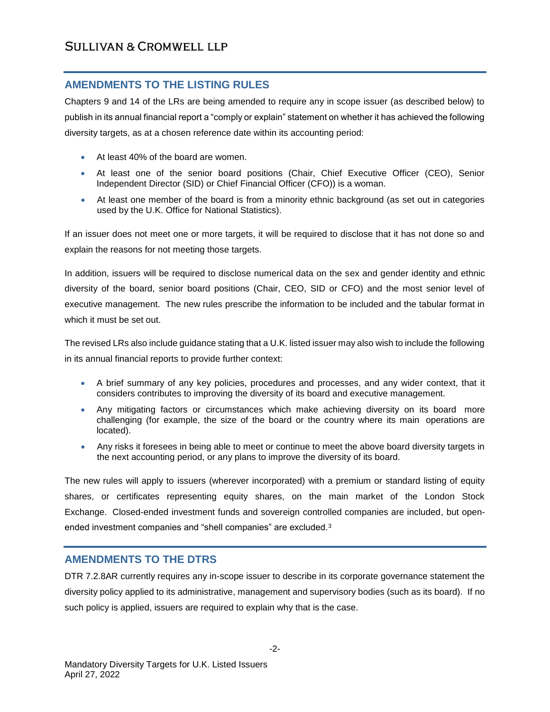## **AMENDMENTS TO THE LISTING RULES**

Chapters 9 and 14 of the LRs are being amended to require any in scope issuer (as described below) to publish in its annual financial report a "comply or explain" statement on whether it has achieved the following diversity targets, as at a chosen reference date within its accounting period:

- At least 40% of the board are women.
- At least one of the senior board positions (Chair, Chief Executive Officer (CEO), Senior Independent Director (SID) or Chief Financial Officer (CFO)) is a woman.
- At least one member of the board is from a minority ethnic background (as set out in categories used by the U.K. Office for National Statistics).

If an issuer does not meet one or more targets, it will be required to disclose that it has not done so and explain the reasons for not meeting those targets.

In addition, issuers will be required to disclose numerical data on the sex and gender identity and ethnic diversity of the board, senior board positions (Chair, CEO, SID or CFO) and the most senior level of executive management. The new rules prescribe the information to be included and the tabular format in which it must be set out.

The revised LRs also include guidance stating that a U.K. listed issuer may also wish to include the following in its annual financial reports to provide further context:

- A brief summary of any key policies, procedures and processes, and any wider context, that it considers contributes to improving the diversity of its board and executive management.
- Any mitigating factors or circumstances which make achieving diversity on its board more challenging (for example, the size of the board or the country where its main operations are located).
- Any risks it foresees in being able to meet or continue to meet the above board diversity targets in the next accounting period, or any plans to improve the diversity of its board.

The new rules will apply to issuers (wherever incorporated) with a premium or standard listing of equity shares, or certificates representing equity shares, on the main market of the London Stock Exchange. Closed-ended investment funds and sovereign controlled companies are included, but openended investment companies and "shell companies" are excluded.<sup>3</sup>

## **AMENDMENTS TO THE DTRS**

DTR 7.2.8AR currently requires any in-scope issuer to describe in its corporate governance statement the diversity policy applied to its administrative, management and supervisory bodies (such as its board). If no such policy is applied, issuers are required to explain why that is the case.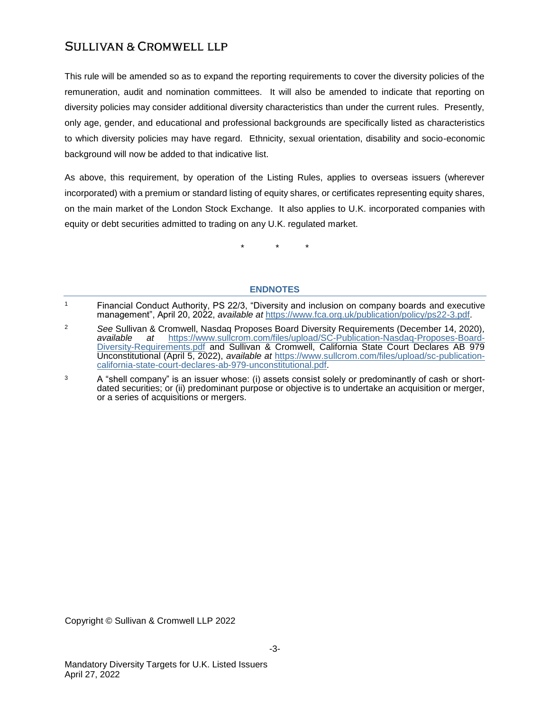# **SULLIVAN & CROMWELL LLP**

This rule will be amended so as to expand the reporting requirements to cover the diversity policies of the remuneration, audit and nomination committees. It will also be amended to indicate that reporting on diversity policies may consider additional diversity characteristics than under the current rules. Presently, only age, gender, and educational and professional backgrounds are specifically listed as characteristics to which diversity policies may have regard. Ethnicity, sexual orientation, disability and socio-economic background will now be added to that indicative list.

As above, this requirement, by operation of the Listing Rules, applies to overseas issuers (wherever incorporated) with a premium or standard listing of equity shares, or certificates representing equity shares, on the main market of the London Stock Exchange. It also applies to U.K. incorporated companies with equity or debt securities admitted to trading on any U.K. regulated market.

\* \* \*

### **ENDNOTES**

Copyright © Sullivan & Cromwell LLP 2022

<sup>1</sup> Financial Conduct Authority, PS 22/3, "Diversity and inclusion on company boards and executive management", April 20, 2022, *available at* [https://www.fca.org.uk/publication/policy/ps22-3.pdf.](https://www.fca.org.uk/publication/policy/ps22-3.pdf)

<sup>2</sup> *See* Sullivan & Cromwell, Nasdaq Proposes Board Diversity Requirements (December 14, 2020)*, available at* [https://www.sullcrom.com/files/upload/SC-Publication-Nasdaq-Proposes-Board-](https://www.sullcrom.com/files/upload/SC-Publication-Nasdaq-Proposes-Board-Diversity-Requirements.pdf)[Diversity-Requirements.pdf](https://www.sullcrom.com/files/upload/SC-Publication-Nasdaq-Proposes-Board-Diversity-Requirements.pdf) and Sullivan & Cromwell, California State Court Declares AB 979 Unconstitutional (April 5, 2022), *available at* [https://www.sullcrom.com/files/upload/sc-publication](https://www.sullcrom.com/files/upload/sc-publication-california-state-court-declares-ab-979-unconstitutional.pdf)[california-state-court-declares-ab-979-unconstitutional.pdf.](https://www.sullcrom.com/files/upload/sc-publication-california-state-court-declares-ab-979-unconstitutional.pdf)

 $3 \text{ A}$  "shell company" is an issuer whose: (i) assets consist solely or predominantly of cash or shortdated securities; or (ii) predominant purpose or objective is to undertake an acquisition or merger, or a series of acquisitions or mergers.